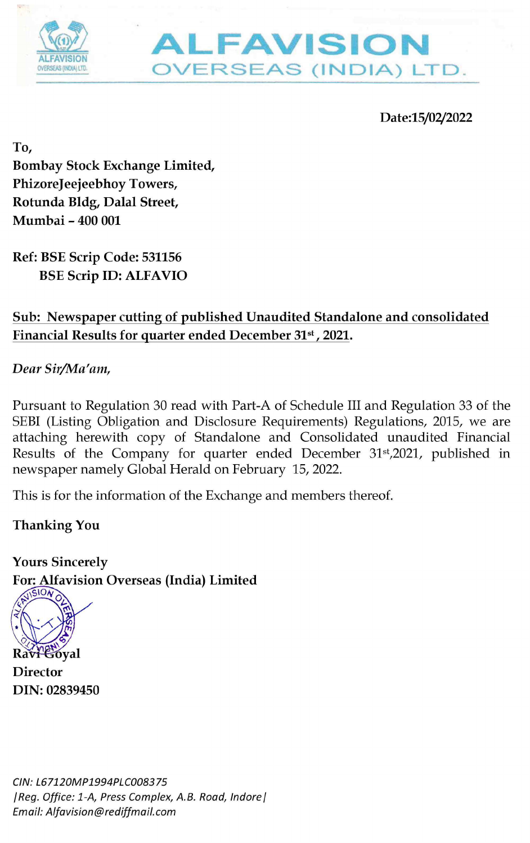



Date:15/02/2022

To, Bombay Stock Exchange Limited, PhizoreJeejeebhoy Towers, Rotunda Bldg, Dalal Street, Mumbai - 400 001 FAVISION<br>
THEAVISION<br>
OVERSEAS (INI<br>
Bombay Stock Exchange Limited,<br>
PhizoreJeejeebhoy Towers,<br>
Rotunda Bldg, Dalal Street,<br>
Mumbai - 400 001<br>
Ref: BSE Scrip Code: 531156<br>
BSE Scrip ID: ALFAVIO<br>
Sub: Newspaper cutting of p

Ref: BSE Scrip Code: 531156 BSE Scrip ID: ALFAVIO

Dear Sir/Ma'am,

Pursuant to Regulation 30 read with Part-A of Schedule III and Regulation 33 of the SEBI (Listing Obligation and Disclosure Requirements) Regulations, 2015, we are attaching herewith copy of Standalone and Consolidated unaudited Financial Results of the Company for quarter ended December 31\*,2021, published in newspaper namely Global Herald on February 15, 2022.

This is for the information of the Exchange and members thereof.

Thanking You

Yours Sincerely<br>For: Alfavision Overseas (India) Limited



**Director** DIN: 02839450